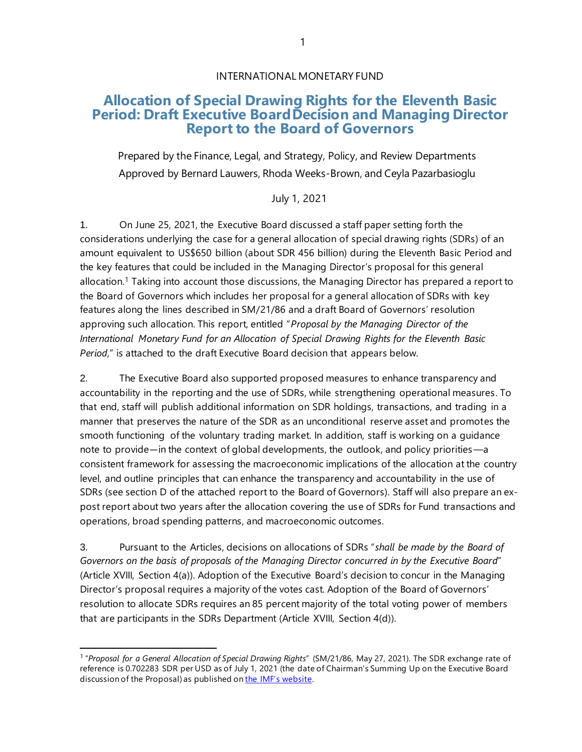## **Allocation of Special Drawing Rights for the Eleventh Basic Period: Draft Executive BoardDecision and Managing Director Report to the Board of Governors**

Prepared by the Finance, Legal, and Strategy, Policy, and Review Departments Approved by Bernard Lauwers, Rhoda Weeks-Brown, and Ceyla Pazarbasioglu

July 1, 2021

1. On June 25, 2021, the Executive Board discussed a staff paper setting forth the considerations underlying the case for a general allocation of special drawing rights (SDRs) of an amount equivalent to US\$650 billion (about SDR 456 billion) during the Eleventh Basic Period and the key features that could be included in the Managing Director's proposal for this general allocation. <sup>1</sup> Taking into account those discussions, the Managing Director has prepared a report to the Board of Governors which includes her proposal for a general allocation of SDRs with key features along the lines described in SM/21/86 and a draft Board of Governors' resolution approving such allocation. This report, entitled "*Proposal by the Managing Director of the International Monetary Fund for an Allocation of Special Drawing Rights for the Eleventh Basic Period*," is attached to the draft Executive Board decision that appears below.

2. The Executive Board also supported proposed measures to enhance transparency and accountability in the reporting and the use of SDRs, while strengthening operational measures. To that end, staff will publish additional information on SDR holdings, transactions, and trading in a manner that preserves the nature of the SDR as an unconditional reserve asset and promotes the smooth functioning of the voluntary trading market. In addition, staff is working on a guidance note to provide―in the context of global developments, the outlook, and policy priorities—a consistent framework for assessing the macroeconomic implications of the allocation at the country level, and outline principles that can enhance the transparency and accountability in the use of SDRs (see section D of the attached report to the Board of Governors). Staff will also prepare an expost report about two years after the allocation covering the use of SDRs for Fund transactions and operations, broad spending patterns, and macroeconomic outcomes.

3. Pursuant to the Articles, decisions on allocations of SDRs "*shall be made by the Board of Governors on the basis of proposals of the Managing Director concurred in by the Executive Board*" (Article XVIII, Section 4(a)). Adoption of the Executive Board's decision to concur in the Managing Director's proposal requires a majority of the votes cast. Adoption of the Board of Governors' resolution to allocate SDRs requires an 85 percent majority of the total voting power of members that are participants in the SDRs Department (Article XVIII, Section 4(d)).

<sup>1</sup> "*Proposal for a General Allocation of Special Drawing Rights*" (SM/21/86, May 27, 2021). The SDR exchange rate of reference is 0.702283 SDR per USD as of July 1, 2021 (the date of Chairman's Summing Up on the Executive Board discussion of the Proposal) as published on [the IMF's website](https://0-www-imf-org.library.svsu.edu/external/np/fin/data/rms_sdrv.aspx).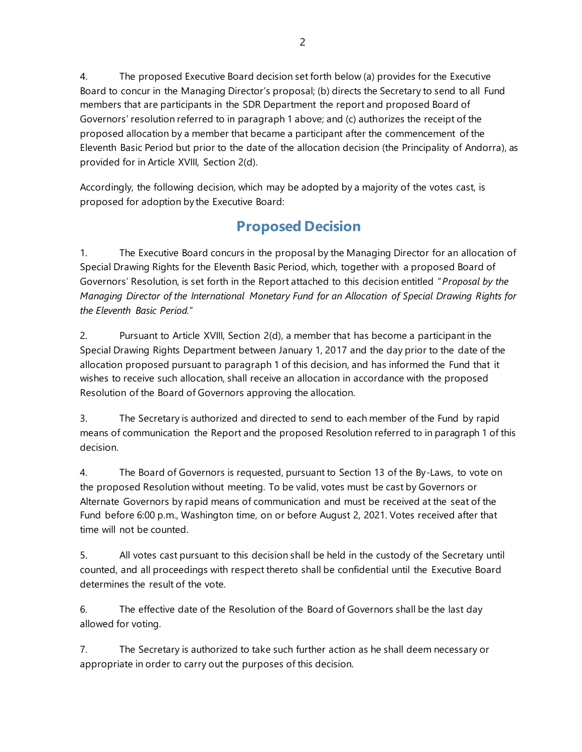4. The proposed Executive Board decision set forth below (a) provides for the Executive Board to concur in the Managing Director's proposal; (b) directs the Secretary to send to all Fund members that are participants in the SDR Department the report and proposed Board of Governors' resolution referred to in paragraph 1 above; and (c) authorizes the receipt of the proposed allocation by a member that became a participant after the commencement of the Eleventh Basic Period but prior to the date of the allocation decision (the Principality of Andorra), as provided for in Article XVIII, Section 2(d).

Accordingly, the following decision, which may be adopted by a majority of the votes cast, is proposed for adoption by the Executive Board:

# **Proposed Decision**

1. The Executive Board concurs in the proposal by the Managing Director for an allocation of Special Drawing Rights for the Eleventh Basic Period, which, together with a proposed Board of Governors' Resolution, is set forth in the Report attached to this decision entitled "*Proposal by the Managing Director of the International Monetary Fund for an Allocation of Special Drawing Rights for the Eleventh Basic Period.*"

2. Pursuant to Article XVIII, Section 2(d), a member that has become a participant in the Special Drawing Rights Department between January 1, 2017 and the day prior to the date of the allocation proposed pursuant to paragraph 1 of this decision, and has informed the Fund that it wishes to receive such allocation, shall receive an allocation in accordance with the proposed Resolution of the Board of Governors approving the allocation.

3. The Secretary is authorized and directed to send to each member of the Fund by rapid means of communication the Report and the proposed Resolution referred to in paragraph 1 of this decision.

4. The Board of Governors is requested, pursuant to Section 13 of the By-Laws, to vote on the proposed Resolution without meeting. To be valid, votes must be cast by Governors or Alternate Governors by rapid means of communication and must be received at the seat of the Fund before 6:00 p.m., Washington time, on or before August 2, 2021. Votes received after that time will not be counted.

5. All votes cast pursuant to this decision shall be held in the custody of the Secretary until counted, and all proceedings with respect thereto shall be confidential until the Executive Board determines the result of the vote.

6. The effective date of the Resolution of the Board of Governors shall be the last day allowed for voting.

7. The Secretary is authorized to take such further action as he shall deem necessary or appropriate in order to carry out the purposes of this decision.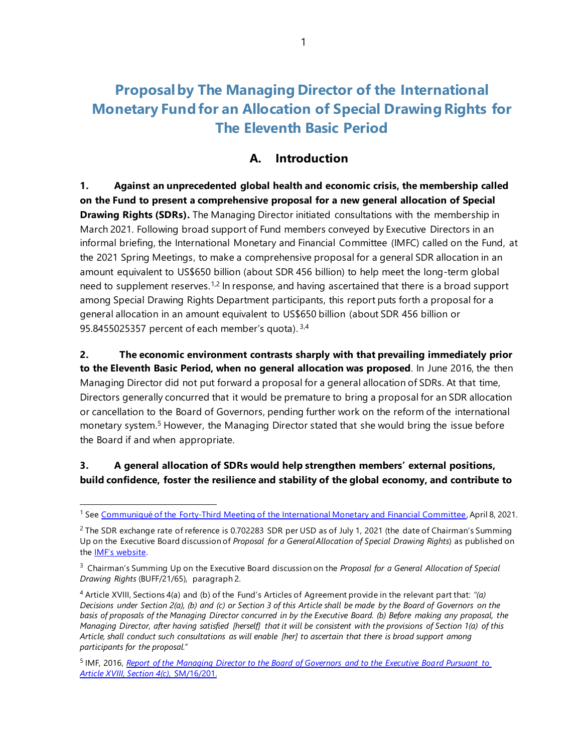# **Proposalby The Managing Director of the International Monetary Fund for an Allocation of Special Drawing Rights for The Eleventh Basic Period**

### **A. Introduction**

**1. Against an unprecedented global health and economic crisis, the membership called on the Fund to present a comprehensive proposal for a new general allocation of Special Drawing Rights (SDRs).** The Managing Director initiated consultations with the membership in March 2021. Following broad support of Fund members conveyed by Executive Directors in an informal briefing, the International Monetary and Financial Committee (IMFC) called on the Fund, at the 2021 Spring Meetings, to make a comprehensive proposal for a general SDR allocation in an amount equivalent to US\$650 billion (about SDR 456 billion) to help meet the long-term global need to supplement reserves.<sup>1,2</sup> In response, and having ascertained that there is a broad support among Special Drawing Rights Department participants, this report puts forth a proposal for a general allocation in an amount equivalent to US\$650 billion (about SDR 456 billion or 95.8455025357 percent of each member's quota). 3,4

**2. The economic environment contrasts sharply with that prevailing immediately prior to the Eleventh Basic Period, when no general allocation was proposed**. In June 2016, the then Managing Director did not put forward a proposal for a general allocation of SDRs. At that time, Directors generally concurred that it would be premature to bring a proposal for an SDR allocation or cancellation to the Board of Governors, pending further work on the reform of the international monetary system.<sup>5</sup> However, the Managing Director stated that she would bring the issue before the Board if and when appropriate.

#### **3. A general allocation of SDRs would help strengthen members' external positions, build confidence, foster the resilience and stability of the global economy, and contribute to**

<sup>1</sup> See [Communiqué of the Forty-Third Meeting of the International Monetary and Financial Committee](https://0-www-imf-org.library.svsu.edu/en/News/Articles/2021/04/08/communique-of-the-forty-third-meeting-of-the-imfc), April 8, 2021.

<sup>&</sup>lt;sup>2</sup> The SDR exchange rate of reference is 0.702283 SDR per USD as of July 1, 2021 (the date of Chairman's Summing Up on the Executive Board discussion of *Proposal for a GeneralAllocation of Special Drawing Rights*) as published on the [IMF's website](https://0-www-imf-org.library.svsu.edu/external/np/fin/data/rms_sdrv.aspx).

<sup>3</sup> Chairman's Summing Up on the Executive Board discussion on the *Proposal for a General Allocation of Special Drawing Rights* (BUFF/21/65), paragraph 2.

<sup>4</sup> Article XVIII, Sections 4(a) and (b) of the Fund's Articles of Agreement provide in the relevant part that: *"(a) Decisions under Section 2(a), (b) and (c) or Section 3 of this Article shall be made by the Board of Governors on the basis of proposals of the Managing Director concurred in by the Executive Board. (b) Before making any proposal, the Managing Director, after having satisfied [herself] that it will be consistent with the provisions of Section 1(a) of this Article, shall conduct such consultations as will enable [her] to ascertain that there is broad support among participants for the proposal.*"

<sup>5</sup> IMF, 2016, *[Report of the Managing Director to the Board of Governors and to the Executive Board Pursuant](https://0-www-imf-org.library.svsu.edu/en/Publications/Policy-Papers/Issues/2016/12/31/Report-of-the-Managing-Director-to-the-Board-of-Governors-and-to-the-Executive-Board-PP5047) to Article XVIII, Section 4(c)*[, SM/16/201.](https://0-www-imf-org.library.svsu.edu/en/Publications/Policy-Papers/Issues/2016/12/31/Report-of-the-Managing-Director-to-the-Board-of-Governors-and-to-the-Executive-Board-PP5047)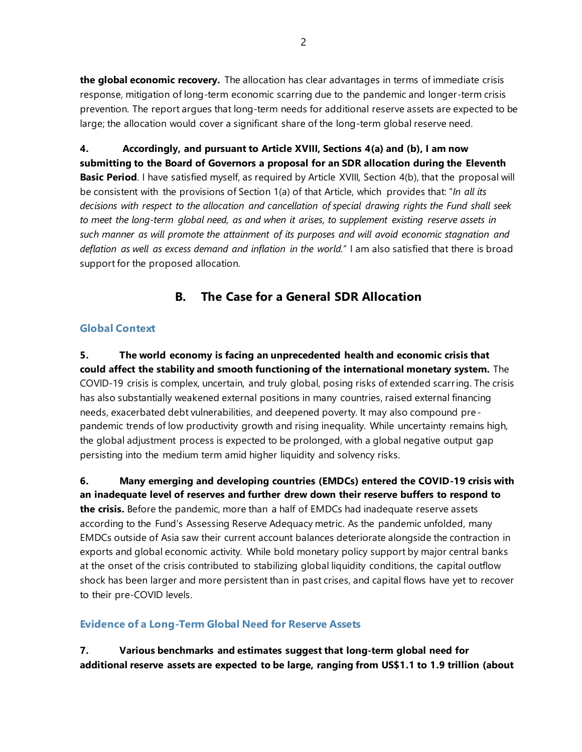**the global economic recovery.** The allocation has clear advantages in terms of immediate crisis response, mitigation of long-term economic scarring due to the pandemic and longer-term crisis prevention. The report argues that long-term needs for additional reserve assets are expected to be large; the allocation would cover a significant share of the long-term global reserve need.

**4. Accordingly, and pursuant to Article XVIII, Sections 4(a) and (b), I am now submitting to the Board of Governors a proposal for an SDR allocation during the Eleventh Basic Period**. I have satisfied myself, as required by Article XVIII, Section 4(b), that the proposal will be consistent with the provisions of Section 1(a) of that Article, which provides that: "*In all its decisions with respect to the allocation and cancellation of special drawing rights the Fund shall seek to meet the long-term global need, as and when it arises, to supplement existing reserve assets in such manner as will promote the attainment of its purposes and will avoid economic stagnation and deflation as well as excess demand and inflation in the world.*" I am also satisfied that there is broad support for the proposed allocation.

## **B. The Case for a General SDR Allocation**

#### **Global Context**

**5. The world economy is facing an unprecedented health and economic crisis that could affect the stability and smooth functioning of the international monetary system.** The COVID-19 crisis is complex, uncertain, and truly global, posing risks of extended scarring. The crisis has also substantially weakened external positions in many countries, raised external financing needs, exacerbated debt vulnerabilities, and deepened poverty. It may also compound prepandemic trends of low productivity growth and rising inequality. While uncertainty remains high, the global adjustment process is expected to be prolonged, with a global negative output gap persisting into the medium term amid higher liquidity and solvency risks.

**6. Many emerging and developing countries (EMDCs) entered the COVID-19 crisis with an inadequate level of reserves and further drew down their reserve buffers to respond to the crisis.** Before the pandemic, more than a half of EMDCs had inadequate reserve assets according to the Fund's Assessing Reserve Adequacy metric. As the pandemic unfolded, many EMDCs outside of Asia saw their current account balances deteriorate alongside the contraction in exports and global economic activity. While bold monetary policy support by major central banks at the onset of the crisis contributed to stabilizing global liquidity conditions, the capital outflow shock has been larger and more persistent than in past crises, and capital flows have yet to recover to their pre-COVID levels.

#### **Evidence of a Long-Term Global Need for Reserve Assets**

**7. Various benchmarks and estimates suggest that long-term global need for additional reserve assets are expected to be large, ranging from US\$1.1 to 1.9 trillion (about**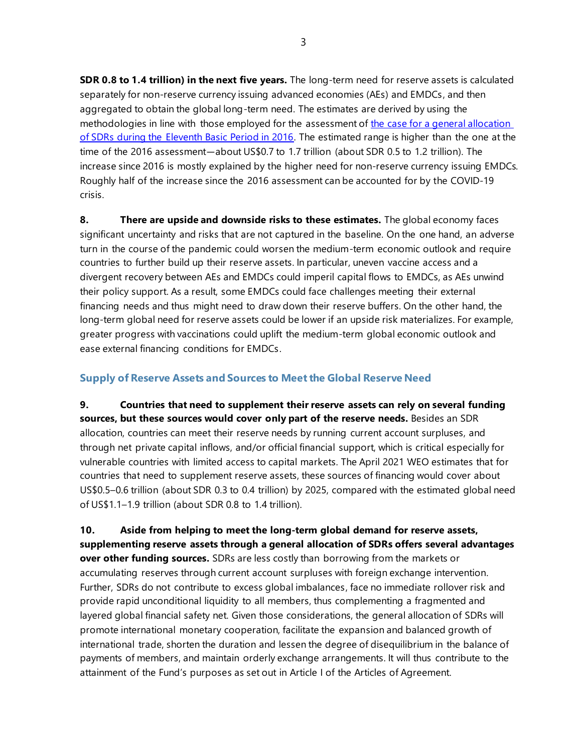**SDR 0.8 to 1.4 trillion) in the next five years.** The long-term need for reserve assets is calculated separately for non-reserve currency issuing advanced economies (AEs) and EMDCs, and then aggregated to obtain the global long-term need. The estimates are derived by using the methodologies in line with those employed for the assessment of the case for a general allocation [of SDRs during the Eleventh Basic Period in 2016.](https://0-www-imf-org.library.svsu.edu/external/np/pp/eng/2016/062916.pdf) The estimated range is higher than the one at the time of the 2016 assessment―about US\$0.7 to 1.7 trillion (about SDR 0.5 to 1.2 trillion). The increase since 2016 is mostly explained by the higher need for non-reserve currency issuing EMDCs. Roughly half of the increase since the 2016 assessment can be accounted for by the COVID-19 crisis.

**8. There are upside and downside risks to these estimates.** The global economy faces significant uncertainty and risks that are not captured in the baseline. On the one hand, an adverse turn in the course of the pandemic could worsen the medium-term economic outlook and require countries to further build up their reserve assets. In particular, uneven vaccine access and a divergent recovery between AEs and EMDCs could imperil capital flows to EMDCs, as AEs unwind their policy support. As a result, some EMDCs could face challenges meeting their external financing needs and thus might need to draw down their reserve buffers. On the other hand, the long-term global need for reserve assets could be lower if an upside risk materializes. For example, greater progress with vaccinations could uplift the medium-term global economic outlook and ease external financing conditions for EMDCs.

#### **Supply of Reserve Assets and Sources to Meet the Global Reserve Need**

**9. Countries that need to supplement their reserve assets can rely on several funding**  sources, but these sources would cover only part of the reserve needs. Besides an SDR allocation, countries can meet their reserve needs by running current account surpluses, and through net private capital inflows, and/or official financial support, which is critical especially for vulnerable countries with limited access to capital markets. The April 2021 WEO estimates that for countries that need to supplement reserve assets, these sources of financing would cover about US\$0.5–0.6 trillion (about SDR 0.3 to 0.4 trillion) by 2025, compared with the estimated global need of US\$1.1–1.9 trillion (about SDR 0.8 to 1.4 trillion).

**10. Aside from helping to meet the long-term global demand for reserve assets, supplementing reserve assets through a general allocation of SDRs offers several advantages over other funding sources.** SDRs are less costly than borrowing from the markets or accumulating reserves through current account surpluses with foreign exchange intervention. Further, SDRs do not contribute to excess global imbalances, face no immediate rollover risk and provide rapid unconditional liquidity to all members, thus complementing a fragmented and layered global financial safety net. Given those considerations, the general allocation of SDRs will promote international monetary cooperation, facilitate the expansion and balanced growth of international trade, shorten the duration and lessen the degree of disequilibrium in the balance of payments of members, and maintain orderly exchange arrangements. It will thus contribute to the attainment of the Fund's purposes as set out in Article I of the Articles of Agreement.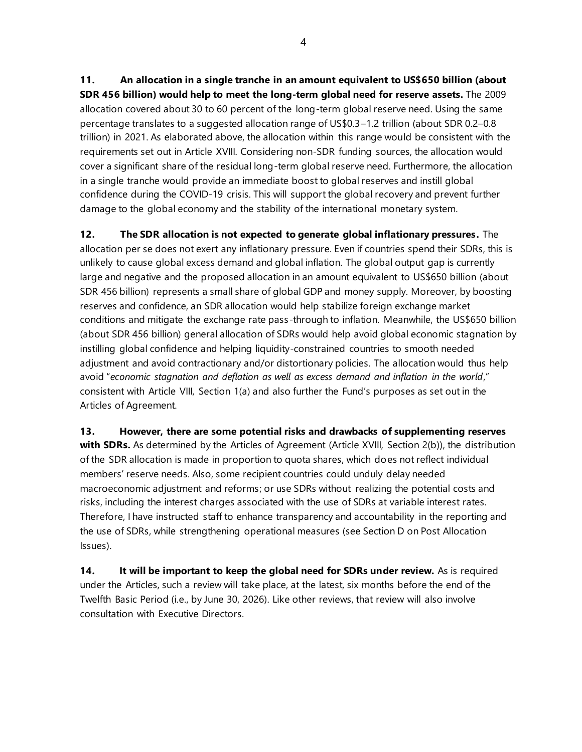**11. An allocation in a single tranche in an amount equivalent to US\$650 billion (about SDR 456 billion) would help to meet the long-term global need for reserve assets.** The 2009 allocation covered about 30 to 60 percent of the long-term global reserve need. Using the same percentage translates to a suggested allocation range of US\$0.3–1.2 trillion (about SDR 0.2–0.8 trillion) in 2021. As elaborated above, the allocation within this range would be consistent with the requirements set out in Article XVIII. Considering non-SDR funding sources, the allocation would cover a significant share of the residual long-term global reserve need. Furthermore, the allocation in a single tranche would provide an immediate boost to global reserves and instill global confidence during the COVID-19 crisis. This will support the global recovery and prevent further damage to the global economy and the stability of the international monetary system.

**12. The SDR allocation is not expected to generate global inflationary pressures.** The allocation per se does not exert any inflationary pressure. Even if countries spend their SDRs, this is unlikely to cause global excess demand and global inflation. The global output gap is currently large and negative and the proposed allocation in an amount equivalent to US\$650 billion (about SDR 456 billion) represents a small share of global GDP and money supply. Moreover, by boosting reserves and confidence, an SDR allocation would help stabilize foreign exchange market conditions and mitigate the exchange rate pass-through to inflation. Meanwhile, the US\$650 billion (about SDR 456 billion) general allocation of SDRs would help avoid global economic stagnation by instilling global confidence and helping liquidity-constrained countries to smooth needed adjustment and avoid contractionary and/or distortionary policies. The allocation would thus help avoid "*economic stagnation and deflation as well as excess demand and inflation in the world*," consistent with Article VIII, Section 1(a) and also further the Fund's purposes as set out in the Articles of Agreement.

**13. However, there are some potential risks and drawbacks of supplementing reserves with SDRs.** As determined by the Articles of Agreement (Article XVIII, Section 2(b)), the distribution of the SDR allocation is made in proportion to quota shares, which does not reflect individual members' reserve needs. Also, some recipient countries could unduly delay needed macroeconomic adjustment and reforms; or use SDRs without realizing the potential costs and risks, including the interest charges associated with the use of SDRs at variable interest rates. Therefore, I have instructed staff to enhance transparency and accountability in the reporting and the use of SDRs, while strengthening operational measures (see Section D on Post Allocation Issues).

**14. It will be important to keep the global need for SDRs under review.** As is required under the Articles, such a review will take place, at the latest, six months before the end of the Twelfth Basic Period (i.e., by June 30, 2026). Like other reviews, that review will also involve consultation with Executive Directors.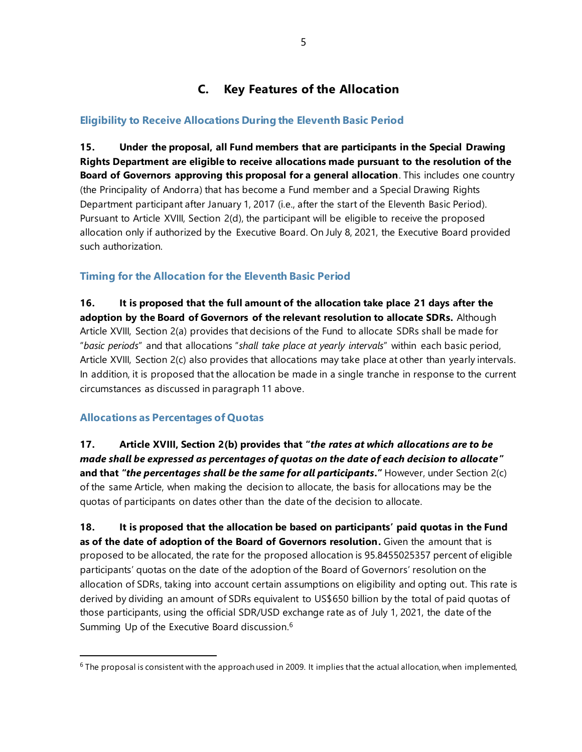# **C. Key Features of the Allocation**

#### **Eligibility to Receive Allocations During the Eleventh Basic Period**

**15. Under the proposal, all Fund members that are participants in the Special Drawing Rights Department are eligible to receive allocations made pursuant to the resolution of the Board of Governors approving this proposal for a general allocation**. This includes one country (the Principality of Andorra) that has become a Fund member and a Special Drawing Rights Department participant after January 1, 2017 (i.e., after the start of the Eleventh Basic Period). Pursuant to Article XVIII, Section 2(d), the participant will be eligible to receive the proposed allocation only if authorized by the Executive Board. On July 8, 2021, the Executive Board provided such authorization.

#### **Timing for the Allocation for the Eleventh Basic Period**

**16. It is proposed that the full amount of the allocation take place 21 days after the adoption by the Board of Governors of the relevant resolution to allocate SDRs.** Although Article XVIII, Section 2(a) provides that decisions of the Fund to allocate SDRs shall be made for "*basic periods*" and that allocations "*shall take place at yearly intervals*" within each basic period, Article XVIII, Section 2(c) also provides that allocations may take place at other than yearly intervals. In addition, it is proposed that the allocation be made in a single tranche in response to the current circumstances as discussed in paragraph 11 above.

#### **Allocations as Percentages of Quotas**

**17. Article XVIII, Section 2(b) provides that "***the rates at which allocations are to be made shall be expressed as percentages of quotas on the date of each decision to allocate* **" and that "***the percentages shall be the same for all participants***."** However, under Section 2(c) of the same Article, when making the decision to allocate, the basis for allocations may be the quotas of participants on dates other than the date of the decision to allocate.

**18. It is proposed that the allocation be based on participants' paid quotas in the Fund as of the date of adoption of the Board of Governors resolution.** Given the amount that is proposed to be allocated, the rate for the proposed allocation is 95.8455025357 percent of eligible participants' quotas on the date of the adoption of the Board of Governors' resolution on the allocation of SDRs, taking into account certain assumptions on eligibility and opting out. This rate is derived by dividing an amount of SDRs equivalent to US\$650 billion by the total of paid quotas of those participants, using the official SDR/USD exchange rate as of July 1, 2021, the date of the Summing Up of the Executive Board discussion.<sup>6</sup>

 $6$  The proposal is consistent with the approach used in 2009. It implies that the actual allocation, when implemented,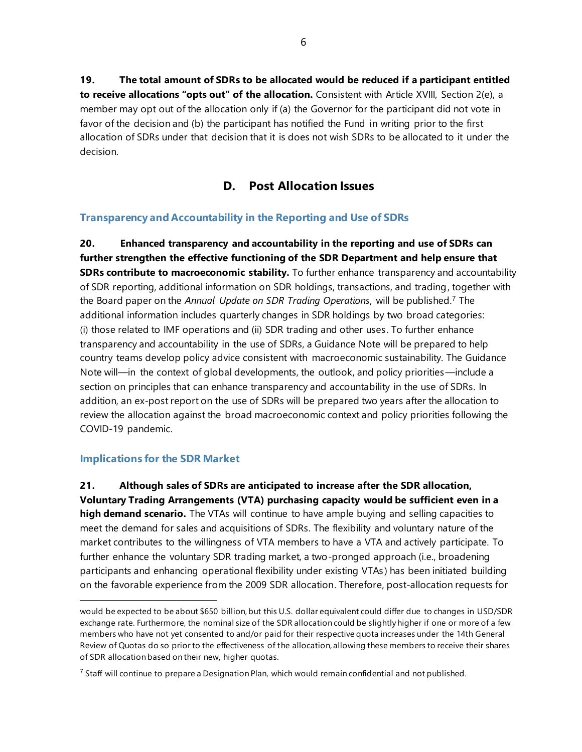**19. The total amount of SDRs to be allocated would be reduced if a participant entitled to receive allocations "opts out" of the allocation.** Consistent with Article XVIII, Section 2(e), a member may opt out of the allocation only if (a) the Governor for the participant did not vote in favor of the decision and (b) the participant has notified the Fund in writing prior to the first allocation of SDRs under that decision that it is does not wish SDRs to be allocated to it under the decision.

### **D. Post Allocation Issues**

#### **Transparency and Accountability in the Reporting and Use of SDRs**

**20. Enhanced transparency and accountability in the reporting and use of SDRs can further strengthen the effective functioning of the SDR Department and help ensure that SDRs contribute to macroeconomic stability.** To further enhance transparency and accountability of SDR reporting, additional information on SDR holdings, transactions, and trading, together with the Board paper on the *Annual Update on SDR Trading Operations*, will be published.<sup>7</sup> The additional information includes quarterly changes in SDR holdings by two broad categories: (i) those related to IMF operations and (ii) SDR trading and other uses . To further enhance transparency and accountability in the use of SDRs, a Guidance Note will be prepared to help country teams develop policy advice consistent with macroeconomic sustainability. The Guidance Note will—in the context of global developments, the outlook, and policy priorities—include a section on principles that can enhance transparency and accountability in the use of SDRs. In addition, an ex-post report on the use of SDRs will be prepared two years after the allocation to review the allocation against the broad macroeconomic context and policy priorities following the COVID-19 pandemic.

#### **Implications for the SDR Market**

**21. Although sales of SDRs are anticipated to increase after the SDR allocation, Voluntary Trading Arrangements (VTA) purchasing capacity would be sufficient even in a high demand scenario.** The VTAs will continue to have ample buying and selling capacities to meet the demand for sales and acquisitions of SDRs. The flexibility and voluntary nature of the market contributes to the willingness of VTA members to have a VTA and actively participate. To further enhance the voluntary SDR trading market, a two-pronged approach (i.e., broadening participants and enhancing operational flexibility under existing VTAs ) has been initiated building on the favorable experience from the 2009 SDR allocation. Therefore, post-allocation requests for

would be expected to be about \$650 billion, but this U.S. dollar equivalent could differ due to changes in USD/SDR exchange rate. Furthermore, the nominal size of the SDR allocation could be slightly higher if one or more of a few members who have not yet consented to and/or paid for their respective quota increases under the 14th General Review of Quotas do so prior to the effectiveness of the allocation, allowing these members to receive their shares of SDR allocation based on their new, higher quotas.

 $<sup>7</sup>$  Staff will continue to prepare a Designation Plan, which would remain confidential and not published.</sup>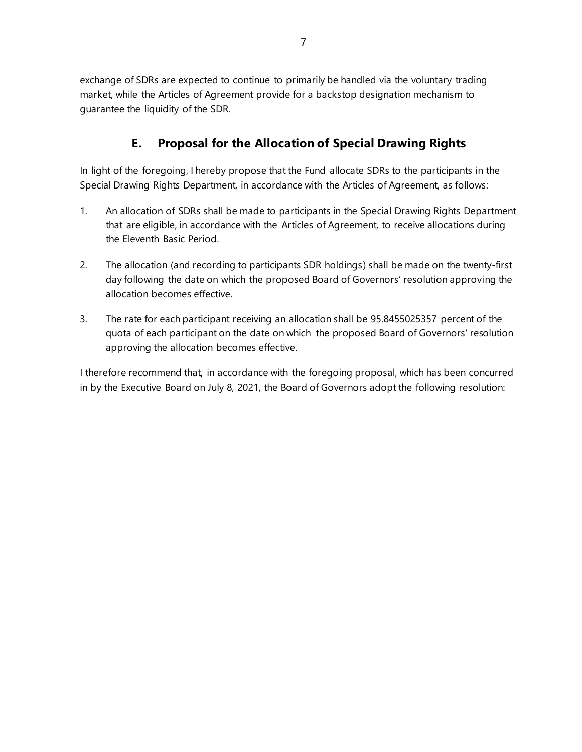exchange of SDRs are expected to continue to primarily be handled via the voluntary trading market, while the Articles of Agreement provide for a backstop designation mechanism to guarantee the liquidity of the SDR.

# **E. Proposal for the Allocation of Special Drawing Rights**

In light of the foregoing, I hereby propose that the Fund allocate SDRs to the participants in the Special Drawing Rights Department, in accordance with the Articles of Agreement, as follows:

- 1. An allocation of SDRs shall be made to participants in the Special Drawing Rights Department that are eligible, in accordance with the Articles of Agreement, to receive allocations during the Eleventh Basic Period.
- 2. The allocation (and recording to participants SDR holdings) shall be made on the twenty-first day following the date on which the proposed Board of Governors' resolution approving the allocation becomes effective.
- 3. The rate for each participant receiving an allocation shall be 95.8455025357 percent of the quota of each participant on the date on which the proposed Board of Governors' resolution approving the allocation becomes effective.

I therefore recommend that, in accordance with the foregoing proposal, which has been concurred in by the Executive Board on July 8, 2021, the Board of Governors adopt the following resolution: